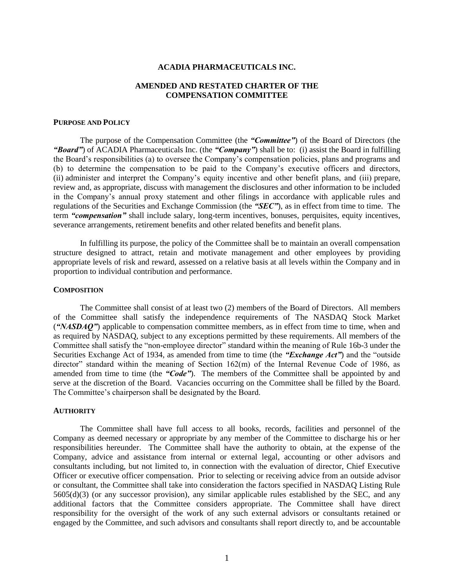### **ACADIA PHARMACEUTICALS INC.**

# **AMENDED AND RESTATED CHARTER OF THE COMPENSATION COMMITTEE**

### **PURPOSE AND POLICY**

The purpose of the Compensation Committee (the *"Committee"*) of the Board of Directors (the *"Board"*) of ACADIA Pharmaceuticals Inc. (the *"Company"*) shall be to: (i) assist the Board in fulfilling the Board's responsibilities (a) to oversee the Company's compensation policies, plans and programs and (b) to determine the compensation to be paid to the Company's executive officers and directors, (ii) administer and interpret the Company's equity incentive and other benefit plans, and (iii) prepare, review and, as appropriate, discuss with management the disclosures and other information to be included in the Company's annual proxy statement and other filings in accordance with applicable rules and regulations of the Securities and Exchange Commission (the *"SEC"*), as in effect from time to time. The term *"compensation"* shall include salary, long-term incentives, bonuses, perquisites, equity incentives, severance arrangements, retirement benefits and other related benefits and benefit plans.

In fulfilling its purpose, the policy of the Committee shall be to maintain an overall compensation structure designed to attract, retain and motivate management and other employees by providing appropriate levels of risk and reward, assessed on a relative basis at all levels within the Company and in proportion to individual contribution and performance.

#### **COMPOSITION**

The Committee shall consist of at least two (2) members of the Board of Directors. All members of the Committee shall satisfy the independence requirements of The NASDAQ Stock Market (*"NASDAQ"*) applicable to compensation committee members, as in effect from time to time, when and as required by NASDAQ, subject to any exceptions permitted by these requirements. All members of the Committee shall satisfy the "non-employee director" standard within the meaning of Rule 16b-3 under the Securities Exchange Act of 1934, as amended from time to time (the *"Exchange Act"*) and the "outside director" standard within the meaning of Section 162(m) of the Internal Revenue Code of 1986, as amended from time to time (the *"Code"*). The members of the Committee shall be appointed by and serve at the discretion of the Board. Vacancies occurring on the Committee shall be filled by the Board. The Committee's chairperson shall be designated by the Board.

#### **AUTHORITY**

The Committee shall have full access to all books, records, facilities and personnel of the Company as deemed necessary or appropriate by any member of the Committee to discharge his or her responsibilities hereunder. The Committee shall have the authority to obtain, at the expense of the Company, advice and assistance from internal or external legal, accounting or other advisors and consultants including, but not limited to, in connection with the evaluation of director, Chief Executive Officer or executive officer compensation. Prior to selecting or receiving advice from an outside advisor or consultant, the Committee shall take into consideration the factors specified in NASDAQ Listing Rule  $5605(d)(3)$  (or any successor provision), any similar applicable rules established by the SEC, and any additional factors that the Committee considers appropriate. The Committee shall have direct responsibility for the oversight of the work of any such external advisors or consultants retained or engaged by the Committee, and such advisors and consultants shall report directly to, and be accountable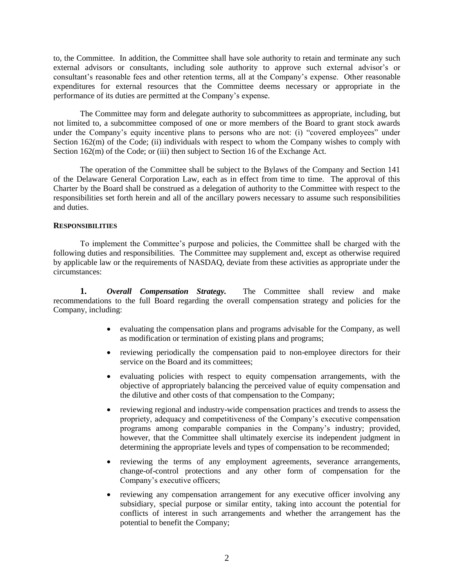to, the Committee. In addition, the Committee shall have sole authority to retain and terminate any such external advisors or consultants, including sole authority to approve such external advisor's or consultant's reasonable fees and other retention terms, all at the Company's expense. Other reasonable expenditures for external resources that the Committee deems necessary or appropriate in the performance of its duties are permitted at the Company's expense.

The Committee may form and delegate authority to subcommittees as appropriate, including, but not limited to, a subcommittee composed of one or more members of the Board to grant stock awards under the Company's equity incentive plans to persons who are not: (i) "covered employees" under Section 162(m) of the Code; (ii) individuals with respect to whom the Company wishes to comply with Section 162(m) of the Code; or (iii) then subject to Section 16 of the Exchange Act.

The operation of the Committee shall be subject to the Bylaws of the Company and Section 141 of the Delaware General Corporation Law, each as in effect from time to time. The approval of this Charter by the Board shall be construed as a delegation of authority to the Committee with respect to the responsibilities set forth herein and all of the ancillary powers necessary to assume such responsibilities and duties.

## **RESPONSIBILITIES**

To implement the Committee's purpose and policies, the Committee shall be charged with the following duties and responsibilities. The Committee may supplement and, except as otherwise required by applicable law or the requirements of NASDAQ, deviate from these activities as appropriate under the circumstances:

**1.** *Overall Compensation Strategy.* The Committee shall review and make recommendations to the full Board regarding the overall compensation strategy and policies for the Company, including:

- evaluating the compensation plans and programs advisable for the Company, as well as modification or termination of existing plans and programs;
- reviewing periodically the compensation paid to non-employee directors for their service on the Board and its committees:
- evaluating policies with respect to equity compensation arrangements, with the objective of appropriately balancing the perceived value of equity compensation and the dilutive and other costs of that compensation to the Company;
- reviewing regional and industry-wide compensation practices and trends to assess the propriety, adequacy and competitiveness of the Company's executive compensation programs among comparable companies in the Company's industry; provided, however, that the Committee shall ultimately exercise its independent judgment in determining the appropriate levels and types of compensation to be recommended;
- reviewing the terms of any employment agreements, severance arrangements, change-of-control protections and any other form of compensation for the Company's executive officers;
- reviewing any compensation arrangement for any executive officer involving any subsidiary, special purpose or similar entity, taking into account the potential for conflicts of interest in such arrangements and whether the arrangement has the potential to benefit the Company;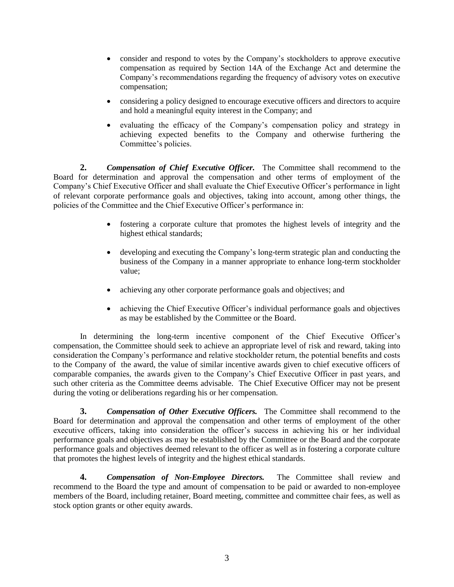- consider and respond to votes by the Company's stockholders to approve executive compensation as required by Section 14A of the Exchange Act and determine the Company's recommendations regarding the frequency of advisory votes on executive compensation;
- considering a policy designed to encourage executive officers and directors to acquire and hold a meaningful equity interest in the Company; and
- evaluating the efficacy of the Company's compensation policy and strategy in achieving expected benefits to the Company and otherwise furthering the Committee's policies.

**2.** *Compensation of Chief Executive Officer.* The Committee shall recommend to the Board for determination and approval the compensation and other terms of employment of the Company's Chief Executive Officer and shall evaluate the Chief Executive Officer's performance in light of relevant corporate performance goals and objectives, taking into account, among other things, the policies of the Committee and the Chief Executive Officer's performance in:

- fostering a corporate culture that promotes the highest levels of integrity and the highest ethical standards;
- developing and executing the Company's long-term strategic plan and conducting the business of the Company in a manner appropriate to enhance long-term stockholder value;
- achieving any other corporate performance goals and objectives; and
- achieving the Chief Executive Officer's individual performance goals and objectives as may be established by the Committee or the Board.

In determining the long-term incentive component of the Chief Executive Officer's compensation, the Committee should seek to achieve an appropriate level of risk and reward, taking into consideration the Company's performance and relative stockholder return, the potential benefits and costs to the Company of the award, the value of similar incentive awards given to chief executive officers of comparable companies, the awards given to the Company's Chief Executive Officer in past years, and such other criteria as the Committee deems advisable. The Chief Executive Officer may not be present during the voting or deliberations regarding his or her compensation.

**3.** *Compensation of Other Executive Officers.* The Committee shall recommend to the Board for determination and approval the compensation and other terms of employment of the other executive officers, taking into consideration the officer's success in achieving his or her individual performance goals and objectives as may be established by the Committee or the Board and the corporate performance goals and objectives deemed relevant to the officer as well as in fostering a corporate culture that promotes the highest levels of integrity and the highest ethical standards.

**4.** *Compensation of Non-Employee Directors.* The Committee shall review and recommend to the Board the type and amount of compensation to be paid or awarded to non-employee members of the Board, including retainer, Board meeting, committee and committee chair fees, as well as stock option grants or other equity awards.